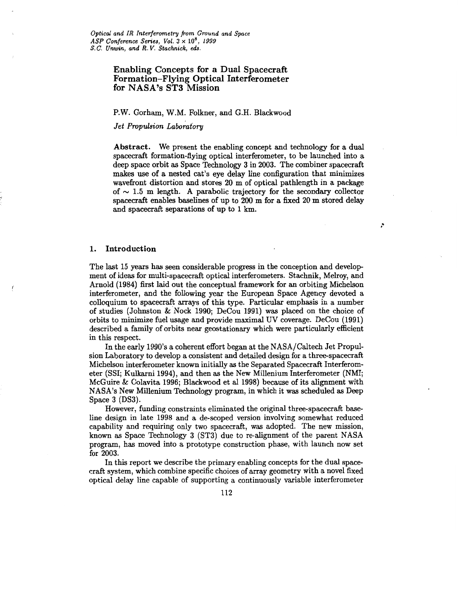# **Enabling Concepts for a Dual Spacecraft Formation-Flying Optical Interferometer for NASA's ST3 Mission**

### P.W. Gorham, W.M. Folkner, and G.H. Blackwood

### *Jet Propulsion Laboratory*

**Abstract.** We present the enabling concept and technology for a dual spacecraft formation-flying optical interferometer, to be launched into a deep space orbit as Space Technology 3 in 2003. The combiner spacecraft makes use of a nested cat's eye delay line configuration that minimizes wavefiont distortion and stores **20** m of optical pathlength in a package of  $\sim$  1.5 m length. A parabolic trajectory for the secondary collector spacecraft enables baselines of up to **200** m for a fixed 20 **m** stored delay and spacecraft separations of up to **1** km.

Ź,

### **1. Introduction**

The last **15** years has seen considerable progress in the conception and develop ment of ideas for multi-spacecraft optical interferometers. Stachnik, Melroy, and Arnold **(1984)** first laid out the conceptual framework for an orbiting Michelson interferometer, and the following year the European Space Agency devoted a colloquium to spacecraft arrays of this type. Particular emphasis in a number of studies (Johnston & Nock **1990;** DeCou **1991)** was placed on the choice of orbits to minimize fuel usage and provide maximal UV coverage. DeCou **(1991)**  described a family of orbits near geostationary which were particularly efficient in this respect.

In the early **1990's** a coherent effort began at the NASA/Caltech Jet Propulsion Laboratory to develop a consistent and detailed design for a three-spacecraft Michelson interferometer known initially as the Separated Spacecraft Interferometer (SSI; Kulkarni **1994),** and then as the New Millenium Interferometer (NMI; McGuire & Colavita **1996;** Blackwood et al **1998)** because of its alignment with NASA's New Millenium Technology program, in which it **was** scheduled as Deep Space 3 (DS3).

However, funding constraints eliminated the original three-spacecraft baseline design in late **1998** and a de-scoped version involving somewhat reduced capability and requiring only two spacecraft, was adopted. The new mission, known as Space Technology 3 (ST3) due to re-alignment of the parent NASA program, has moved into a prototype construction phase, with launch now set for 2003.

In this report we describe the primary enabling concepts for the dual spacecraft system, which combine specific choices of array geometry with a novel fixed optical delay line capable of supporting a continuously variable interferometer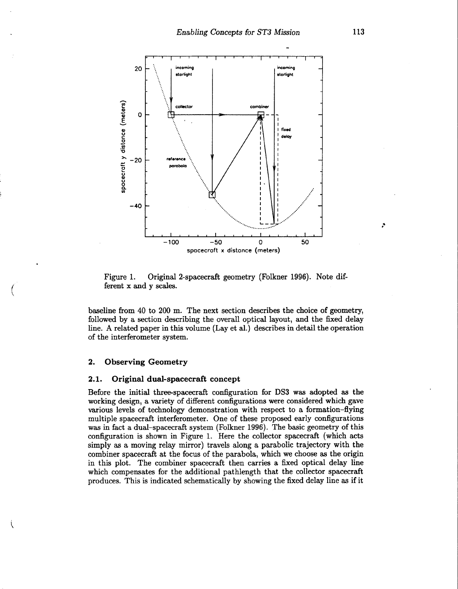<span id="page-1-0"></span>

Figure **1.** Original 2-spacecraft geometry (Folkner **1996).** Note different x and y *scales.* 

baseline from **40** to **200** m. The next section describes the choice of geometry, followed by a section describing the overall optical layout, and the fixed delay line. **A** related paper in this volume (Lay et al.) describes in detail the operation of the interferometer system.

### **2. Observing Geometry**

i

### **2.1. Original dual-spacecraft concept**

Before the initial three-spacecraft configuration for **DS3** was adopted as the working design, a variety of different configurations were considered which gave various levels of technology demonstration with respect to a formation-flying multiple spacecraft interferometer. One of these proposed early configurations was in fact a dual-spacecraft system (Folkner **1996).** The basic geometry of this configuration is shown in Figure **1.** Here the collector spacecraft (which acts simply as a moving relay mirror) travels along a parabolic trajectory with the combiner spacecraft at the focus of the parabola, which we choose as the origin in this plot. The combiner spacecraft then carries a fixed optical delay line which compensates for the additional pathlength that the collector spacecraft produces. This is indicated schematically by showing the fixed delay line as if it

*f*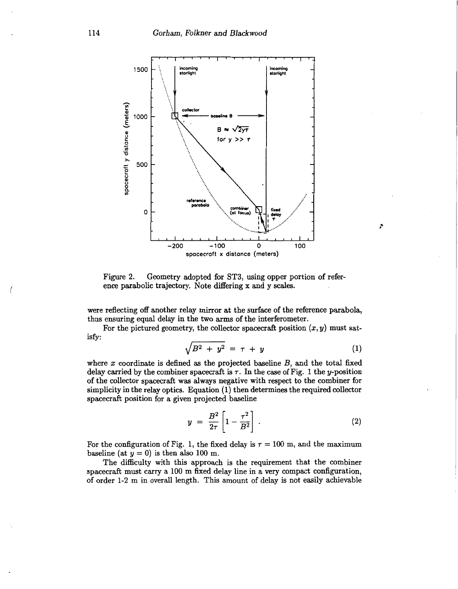<span id="page-2-0"></span>

Figure **2.** Geometry adopted for ST3, using opper portion of reference parabolic trajectory. Note differing **x** and y *scales.* 

were reflecting off another relay **mirror** at the surface of the reference parabola, thus ensuring equal delay in the two **arms** of the interferometer.

For the pictured geometry, the collector spacecraft position  $(x, y)$  must satisfy:

$$
\sqrt{B^2 + y^2} = \tau + y \tag{1}
$$

A

where  $x$  coordinate is defined as the projected baseline  $B$ , and the total fixed delay carried by the combiner spacecraft is  $\tau$ . In the case of [Fig. 1](#page-1-0) the y-position of the collector spacecraft was always negative with respect to the combiner for simplicity in the relay optics. Equation **(1)** then determines the required collector spacecraft position for a given projected baseline

$$
y = \frac{B^2}{2\tau} \left[ 1 - \frac{\tau^2}{B^2} \right] \ . \tag{2}
$$

For the configuration of Fig. 1, the fixed delay is  $\tau = 100$  m, and the maximum baseline (at  $y = 0$ ) is then also 100 m.

The difficulty with this approach is the requirement that the combiner spacecraft must carry a **100** m fixed delay line in a very compact configuration, of order **1-2** m in overall length. This amount of delay is not easily achievable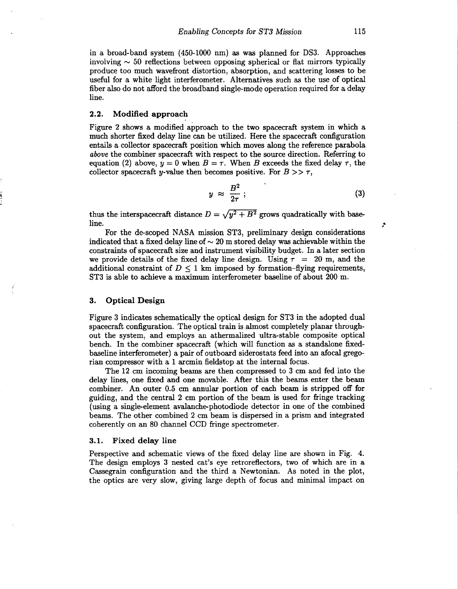in a broad-band system **(450-1000** nm) as was planned for **DS3.** Approaches involving  $\sim$  50 reflections between opposing spherical or flat mirrors typically produce too much wavefront distortion, absorption, and scattering losses to be useful for a white light interferometer. Alternatives such as the use of optical fiber also do not afford the broadband single-mode operation required for a delay line.

## **2.2. Modified approach**

[Figure](#page-2-0) **2** shows a modified approach to the two spacecraft system in which a much shorter fixed delay line can be utilized. Here the spacecraft configuration entails a collector spacecraft position which moves along the reference parabola *above* the combiner spacecraft with respect to the source direction. Referring to equation (2) above,  $y = 0$  when  $B = \tau$ . When *B* exceeds the fixed delay  $\tau$ , the collector spacecraft *y*-value then becomes positive. For  $B \geq \tau$ ,

$$
y \approx \frac{B^2}{2\tau} \, ; \tag{3}
$$

thus the interspacecraft distance  $D = \sqrt{y^2 + B^2}$  grows quadratically with base-<br>line.  $\mathbf{line}$ .  $\mathbf{\hat{z}}$ 

For the de-scoped NASA mission ST3, preliminary design considerations indicated that a fixed delay line of  $\sim$  20 m stored delay was achievable within the constraints of spacecraft size and instrument visibility budget. In a later section we provide details of the fixed delay line design. Using  $\tau = 20$  m, and the additional constraint of  $D < 1$  km imposed by formation-flying requirements, ST3 is able to achieve a maximum interferometer baseline of about **200** m.

### **3. Optical Design**

[Figure 3](#page-4-0) indicates schematically the optical design for ST3 in the adopted dual spacecraft configuration. The optical train is almost completely planar throughout the system, and employs an athermalized ultra-stable composite optical bench. In the combiner spacecraft (which will function as a standalone fixedbaseline interferometer) a pair of outboard siderostats feed into an afocal gregorian compressor with a **1** arcmin fieldstop at the internal focus.

The **12** cm incoming beams are then compressed to 3 cm and fed into the delay lines, one fixed and one movable. After this the beams enter the beam combiner. An outer **0.5** cm annular portion of each beam is stripped off for guiding, and the central **2** cm portion of the beam is used for fringe tracking (using a single-element avalanche-photodiode detector in one of the combined beams. The other combined **2** cm beam is dispersed in a prism and integrated coherently on an 80 channel CCD fringe spectrometer.

#### **3.1. Fixed delay line**

Perspective and schematic views of the fixed delay line are shown in [Fig.](#page-5-0) **4.**  The design employs 3 nested cat's eye retroreflectors, two of which are in a Cassegrain configuration and the third a Newtonian. **As** noted in the plot, the optics are very slow, giving large depth of focus and minimal impact on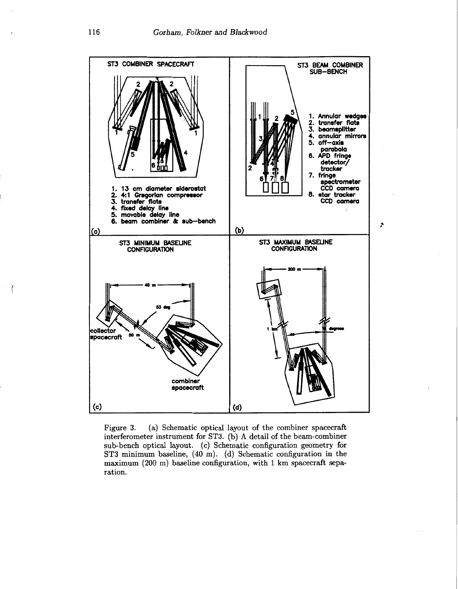<span id="page-4-0"></span>

Figure **3.** (a) Schematic optical layout of the combiner spacecraft interferometer instrument for **ST3.** (b) **A** detail of the beam-combiner sub-bench optical layout. (c) Schematic configuration geometry for **ST3** minimum baseline, **(40 m).** (d) Schematic configuration in the maximum **(200** m) baseline configuration, with 1 km spacecraft separation.